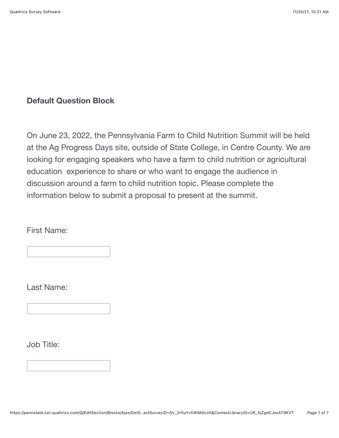## **Default Question Block**

On June 23, 2022, the Pennsylvania Farm to Child Nutrition Summit will be held at the Ag Progress Days site, outside of State College, in Centre County. We are looking for engaging speakers who have a farm to child nutrition or agricultural education experience to share or who want to engage the audience in discussion around a farm to child nutrition topic. Please complete the information below to submit a proposal to present at the summit.

First Name:

Last Name:

Job Title: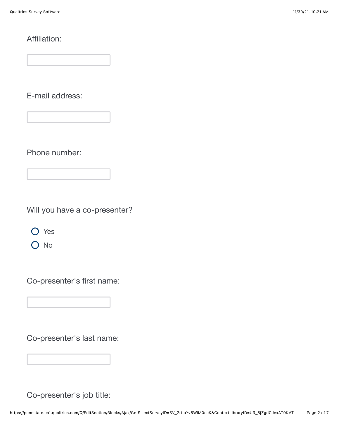## Affiliation:

E-mail address:

Phone number:

Will you have a co-presenter?

O Yes

O No

Co-presenter's first name:

Co-presenter's last name:

Co-presenter's job title: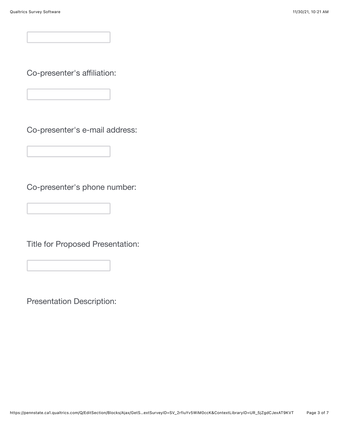Co-presenter's affiliation:

Co-presenter's e-mail address:

Co-presenter's phone number:

Title for Proposed Presentation:

Presentation Description: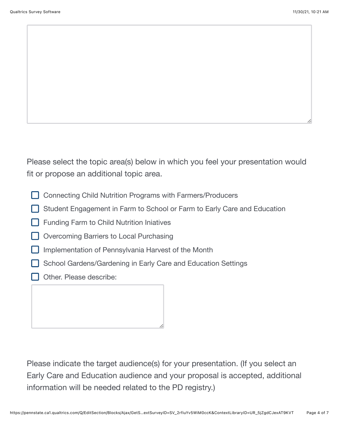Please select the topic area(s) below in which you feel your presentation would fit or propose an additional topic area.

- □ Connecting Child Nutrition Programs with Farmers/Producers
- Student Engagement in Farm to School or Farm to Early Care and Education
- Funding Farm to Child Nutrition Iniatives
- Overcoming Barriers to Local Purchasing
- $\Box$  Implementation of Pennsylvania Harvest of the Month
- School Gardens/Gardening in Early Care and Education Settings
- Other. Please describe:

Please indicate the target audience(s) for your presentation. (If you select an Early Care and Education audience and your proposal is accepted, additional information will be needed related to the PD registry.)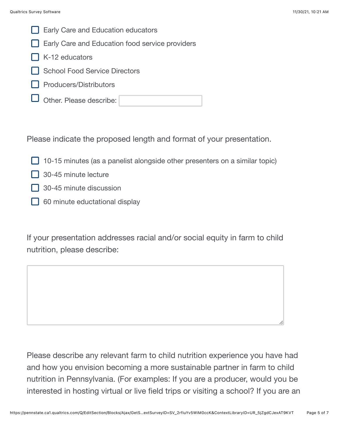

Early Care and Education food service providers

- $\Box$  K-12 educators
- School Food Service Directors
- Producers/Distributors
- Other. Please describe:

Please indicate the proposed length and format of your presentation.

- $\Box$  10-15 minutes (as a panelist alongside other presenters on a similar topic)
- $\Box$  30-45 minute lecture
- $\Box$  30-45 minute discussion
- $\Box$  60 minute eductational display

If your presentation addresses racial and/or social equity in farm to child nutrition, please describe:

Please describe any relevant farm to child nutrition experience you have had and how you envision becoming a more sustainable partner in farm to child nutrition in Pennsylvania. (For examples: If you are a producer, would you be interested in hosting virtual or live field trips or visiting a school? If you are an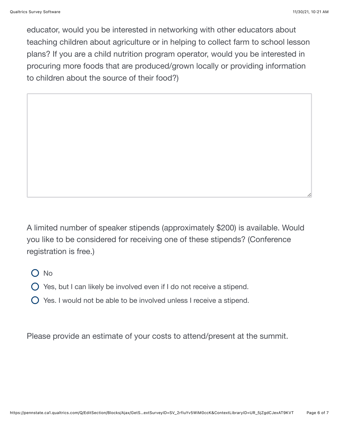educator, would you be interested in networking with other educators about teaching children about agriculture or in helping to collect farm to school lesson plans? If you are a child nutrition program operator, would you be interested in procuring more foods that are produced/grown locally or providing information to children about the source of their food?)

A limited number of speaker stipends (approximately \$200) is available. Would you like to be considered for receiving one of these stipends? (Conference registration is free.)

O No

 $\bigcirc$  Yes, but I can likely be involved even if I do not receive a stipend.

 $\bigcirc$  Yes. I would not be able to be involved unless I receive a stipend.

Please provide an estimate of your costs to attend/present at the summit.